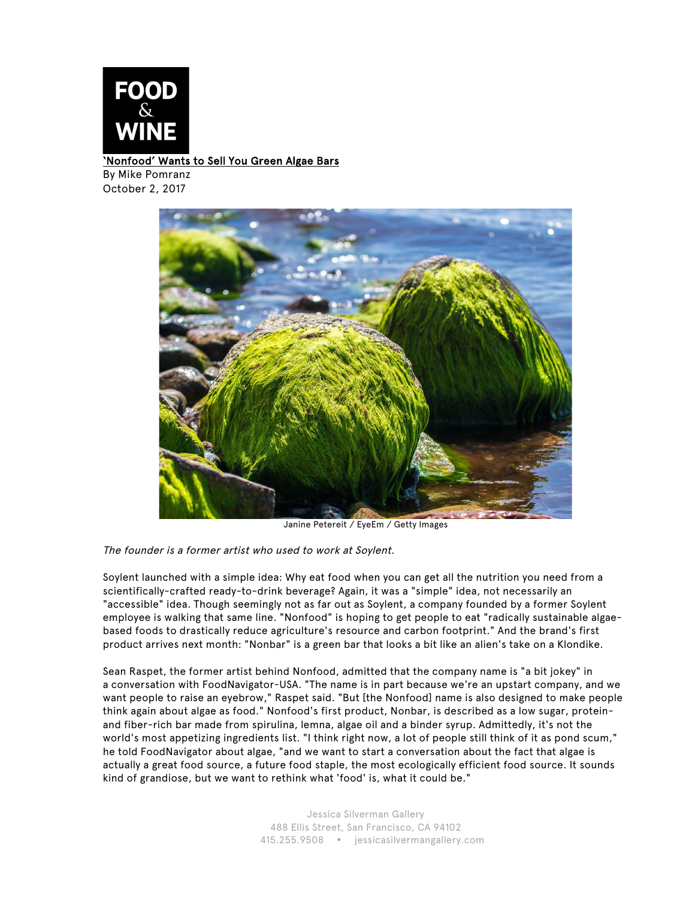

## 'Nonfood' Wants to Sell You Green Algae Bars

By Mike Pomranz October 2, 2017



Janine Petereit / EyeEm / Getty Images

## The founder is a former artist who used to work at Soylent.

Soylent launched with a simple idea: Why eat food when you can get all the nutrition you need from a scientifically-crafted ready-to-drink beverage? Again, it was a "simple" idea, not necessarily an "accessible" idea. Though seemingly not as far out as Soylent, a company founded by a former Soylent employee is walking that same line. "Nonfood" is hoping to get people to eat "radically sustainable algaebased foods to drastically reduce agriculture's resource and carbon footprint." And the brand's first product arrives next month: "Nonbar" is a green bar that looks a bit like an alien's take on a Klondike.

Sean Raspet, the former artist behind Nonfood, admitted that the company name is "a bit jokey" in a conversation with FoodNavigator-USA. "The name is in part because we're an upstart company, and we want people to raise an eyebrow," Raspet said. "But [the Nonfood] name is also designed to make people think again about algae as food." Nonfood's first product, Nonbar, is described as a low sugar, proteinand fiber-rich bar made from spirulina, lemna, algae oil and a binder syrup. Admittedly, it's not the world's most appetizing ingredients list. "I think right now, a lot of people still think of it as pond scum," he told FoodNavigator about algae, "and we want to start a conversation about the fact that algae is actually a great food source, a future food staple, the most ecologically efficient food source. It sounds kind of grandiose, but we want to rethink what 'food' is, what it could be."